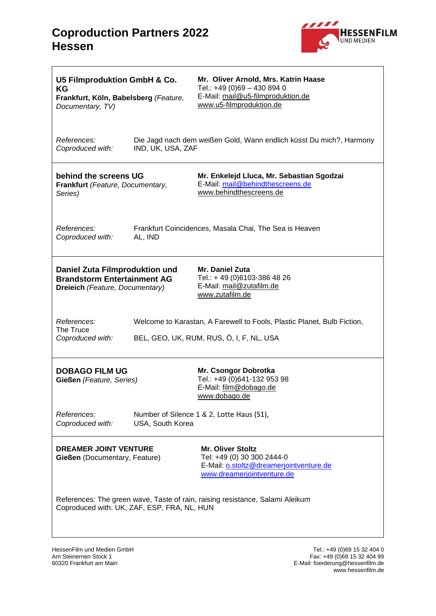

| U5 Filmproduktion GmbH & Co.<br><b>KG</b><br>Frankfurt, Köln, Babelsberg (Feature,<br>Documentary, TV)                       |                                                                                                                     | Mr. Oliver Arnold, Mrs. Katrin Haase<br>Tel.: +49 (0)69 - 430 894 0<br>E-Mail: mail@u5-filmproduktion.de<br>www.u5-filmproduktion.de |  |  |
|------------------------------------------------------------------------------------------------------------------------------|---------------------------------------------------------------------------------------------------------------------|--------------------------------------------------------------------------------------------------------------------------------------|--|--|
| <i>References:</i><br>Coproduced with:                                                                                       | IND, UK, USA, ZAF                                                                                                   | Die Jagd nach dem weißen Gold, Wann endlich küsst Du mich?, Harmony                                                                  |  |  |
| behind the screens UG<br>Frankfurt (Feature, Documentary,<br>Series)                                                         |                                                                                                                     | Mr. Enkelejd Lluca, Mr. Sebastian Sgodzai<br>E-Mail: mail@behindthescreens.de<br>www.behindthescreens.de                             |  |  |
| References:<br>Coproduced with:                                                                                              | Frankfurt Coincidences, Masala Chai, The Sea is Heaven<br>AL, IND                                                   |                                                                                                                                      |  |  |
| Daniel Zuta Filmproduktion und<br><b>Brandstorm Entertainment AG</b><br>Dreieich (Feature, Documentary)                      |                                                                                                                     | Mr. Daniel Zuta<br>Tel.: +49 (0)6103-386 48 26<br>E-Mail: mail@zutafilm.de<br>www.zutafilm.de                                        |  |  |
| References:<br>The Truce<br>Coproduced with:                                                                                 | Welcome to Karastan, A Farewell to Fools, Plastic Planet, Bulb Fiction,<br>BEL, GEO, UK, RUM, RUS, Ö, I, F, NL, USA |                                                                                                                                      |  |  |
| <b>DOBAGO FILM UG</b><br>Gießen (Feature, Series)                                                                            |                                                                                                                     | Mr. Csongor Dobrotka<br>Tel.: +49 (0)641-132 953 98<br>E-Mail: film@dobago.de<br>www.dobago.de                                       |  |  |
| References:<br>Coproduced with:                                                                                              | Number of Silence 1 & 2, Lotte Haus (S1),<br>USA, South Korea                                                       |                                                                                                                                      |  |  |
| <b>DREAMER JOINT VENTURE</b><br>Gießen (Documentary, Feature)                                                                |                                                                                                                     | <b>Mr. Oliver Stoltz</b><br>Tel: +49 (0) 30 300 2444-0<br>E-Mail: o.stoltz@dreamerjointventure.de<br>www.dreamerjointventure.de      |  |  |
| References: The green wave, Taste of rain, raising resistance, Salami Aleikum<br>Coproduced with: UK, ZAF, ESP, FRA, NL, HUN |                                                                                                                     |                                                                                                                                      |  |  |

HessenFilm und Medien GmbH<br>Am Steinernen Stock 1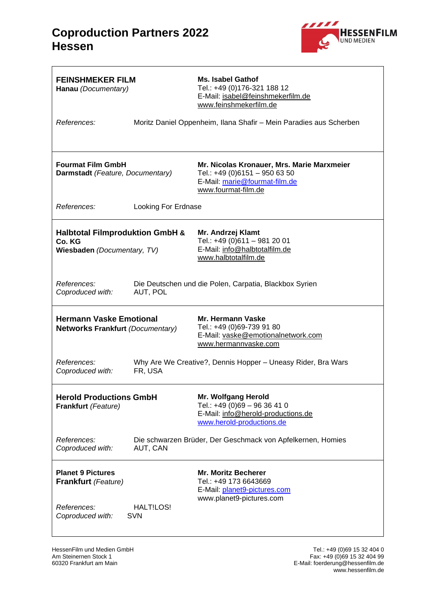

| <b>FEINSHMEKER FILM</b><br>Hanau (Documentary)                                      |                                                                         | Ms. Isabel Gathof<br>Tel.: +49 (0)176-321 188 12<br>E-Mail: isabel@feinshmekerfilm.de<br>www.feinshmekerfilm.de                     |
|-------------------------------------------------------------------------------------|-------------------------------------------------------------------------|-------------------------------------------------------------------------------------------------------------------------------------|
| References:                                                                         |                                                                         | Moritz Daniel Oppenheim, Ilana Shafir - Mein Paradies aus Scherben                                                                  |
| <b>Fourmat Film GmbH</b><br>Darmstadt (Feature, Documentary)                        |                                                                         | Mr. Nicolas Kronauer, Mrs. Marie Marxmeier<br>Tel.: +49 (0)6151 - 950 63 50<br>E-Mail: marie@fourmat-film.de<br>www.fourmat-film.de |
| References:                                                                         | Looking For Erdnase                                                     |                                                                                                                                     |
| <b>Halbtotal Filmproduktion GmbH &amp;</b><br>Co. KG<br>Wiesbaden (Documentary, TV) |                                                                         | Mr. Andrzej Klamt<br>Tel.: +49 (0)611 - 981 20 01<br>E-Mail: info@halbtotalfilm.de<br>www.halbtotalfilm.de                          |
| References:<br>Coproduced with:                                                     | AUT, POL                                                                | Die Deutschen und die Polen, Carpatia, Blackbox Syrien                                                                              |
| <b>Hermann Vaske Emotional</b><br><b>Networks Frankfurt (Documentary)</b>           |                                                                         | Mr. Hermann Vaske<br>Tel.: +49 (0)69-739 91 80<br>E-Mail: vaske@emotionalnetwork.com<br>www.hermannvaske.com                        |
| References:<br>Coproduced with:                                                     | Why Are We Creative?, Dennis Hopper - Uneasy Rider, Bra Wars<br>FR, USA |                                                                                                                                     |
| <b>Herold Productions GmbH</b><br>Frankfurt (Feature)                               |                                                                         | Mr. Wolfgang Herold<br>Tel.: +49 (0)69 - 96 36 41 0<br>E-Mail: info@herold-productions.de<br>www.herold-productions.de              |
| References:<br>Coproduced with:                                                     | Die schwarzen Brüder, Der Geschmack von Apfelkernen, Homies<br>AUT, CAN |                                                                                                                                     |
| <b>Planet 9 Pictures</b><br><b>Frankfurt</b> (Feature)                              |                                                                         | <b>Mr. Moritz Becherer</b><br>Tel.: +49 173 6643669<br>E-Mail: planet9-pictures.com<br>www.planet9-pictures.com                     |
| References:<br>Coproduced with:                                                     | HALT!LOS!<br><b>SVN</b>                                                 |                                                                                                                                     |

HessenFilm und Medien GmbH<br>Am Steinernen Stock 1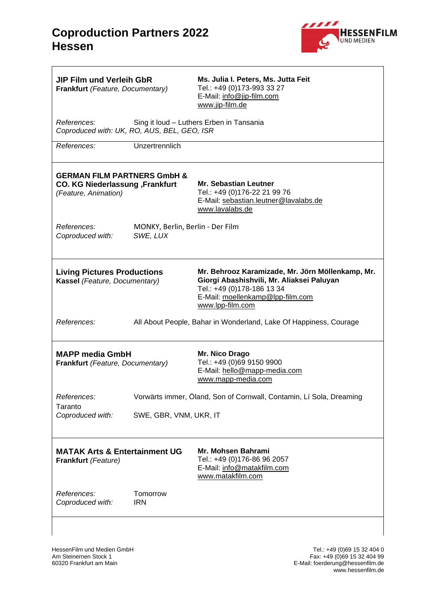

| <b>JIP Film und Verleih GbR</b><br>Frankfurt (Feature, Documentary)                               |                                                                     | Ms. Julia I. Peters, Ms. Jutta Feit<br>Tel.: +49 (0)173-993 33 27<br>E-Mail: info@jip-film.com<br>www.jip-film.de                                                                   |
|---------------------------------------------------------------------------------------------------|---------------------------------------------------------------------|-------------------------------------------------------------------------------------------------------------------------------------------------------------------------------------|
| <i>References:</i><br>Coproduced with: UK, RO, AUS, BEL, GEO, ISR                                 |                                                                     | Sing it loud - Luthers Erben in Tansania                                                                                                                                            |
| References:                                                                                       | Unzertrennlich                                                      |                                                                                                                                                                                     |
| <b>GERMAN FILM PARTNERS GmbH &amp;</b><br>CO. KG Niederlassung, Frankfurt<br>(Feature, Animation) |                                                                     | <b>Mr. Sebastian Leutner</b><br>Tel.: +49 (0)176-22 21 99 76<br>E-Mail: sebastian.leutner@lavalabs.de<br>www.lavalabs.de                                                            |
| <i>References:</i><br>Coproduced with:                                                            | MONKY, Berlin, Berlin - Der Film<br>SWE, LUX                        |                                                                                                                                                                                     |
| <b>Living Pictures Productions</b><br>Kassel (Feature, Documentary)                               |                                                                     | Mr. Behrooz Karamizade, Mr. Jörn Möllenkamp, Mr.<br>Giorgi Abashishvili, Mr. Aliaksei Paluyan<br>Tel.: +49 (0)178-186 13 34<br>E-Mail: moellenkamp@lpp-film.com<br>www.lpp-film.com |
| References:                                                                                       | All About People, Bahar in Wonderland, Lake Of Happiness, Courage   |                                                                                                                                                                                     |
| <b>MAPP media GmbH</b><br>Frankfurt (Feature, Documentary)                                        |                                                                     | Mr. Nico Drago<br>Tel.: +49 (0)69 9150 9900<br>E-Mail: hello@mapp-media.com<br>www.mapp-media.com                                                                                   |
| References:<br>Taranto                                                                            | Vorwärts immer, Öland, Son of Cornwall, Contamin, Lí Sola, Dreaming |                                                                                                                                                                                     |
| Coproduced with:                                                                                  | SWE, GBR, VNM, UKR, IT                                              |                                                                                                                                                                                     |
| <b>MATAK Arts &amp; Entertainment UG</b><br>Frankfurt (Feature)                                   |                                                                     | Mr. Mohsen Bahrami<br>Tel.: +49 (0)176-86 96 2057<br>E-Mail: info@matakfilm.com<br>www.matakfilm.com                                                                                |
| References:<br>Coproduced with:                                                                   | Tomorrow<br><b>IRN</b>                                              |                                                                                                                                                                                     |
|                                                                                                   |                                                                     |                                                                                                                                                                                     |

HessenFilm und Medien GmbH<br>Am Steinernen Stock 1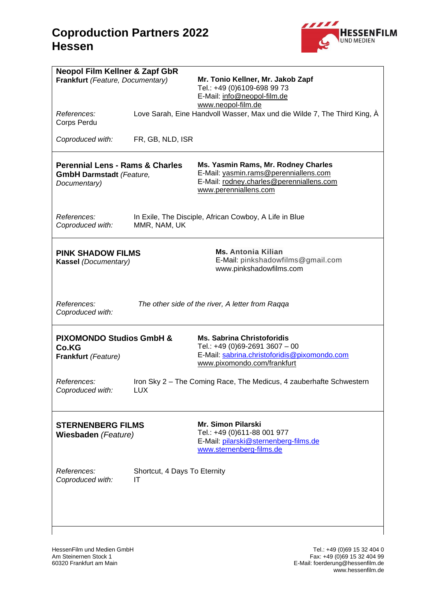

| <b>Neopol Film Kellner &amp; Zapf GbR</b>        |                              |                                                                          |  |
|--------------------------------------------------|------------------------------|--------------------------------------------------------------------------|--|
| Frankfurt (Feature, Documentary)                 |                              | Mr. Tonio Kellner, Mr. Jakob Zapf<br>Tel.: +49 (0)6109-698 99 73         |  |
|                                                  |                              | E-Mail: info@neopol-film.de                                              |  |
|                                                  |                              | www.neopol-film.de                                                       |  |
| References:<br>Corps Perdu                       |                              | Love Sarah, Eine Handvoll Wasser, Max und die Wilde 7, The Third King, À |  |
| Coproduced with:                                 | FR, GB, NLD, ISR             |                                                                          |  |
|                                                  |                              |                                                                          |  |
| <b>Perennial Lens - Rams &amp; Charles</b>       |                              | Ms. Yasmin Rams, Mr. Rodney Charles                                      |  |
| <b>GmbH Darmstadt (Feature,</b>                  |                              | E-Mail: yasmin.rams@perenniallens.com                                    |  |
| Documentary)                                     |                              | E-Mail: rodney.charles@perenniallens.com<br>www.perenniallens.com        |  |
|                                                  |                              |                                                                          |  |
| References:                                      |                              | In Exile, The Disciple, African Cowboy, A Life in Blue                   |  |
| Coproduced with:                                 | MMR, NAM, UK                 |                                                                          |  |
|                                                  |                              | <b>Ms. Antonia Kilian</b>                                                |  |
| <b>PINK SHADOW FILMS</b><br>Kassel (Documentary) |                              | E-Mail: pinkshadowfilms@gmail.com                                        |  |
|                                                  |                              | www.pinkshadowfilms.com                                                  |  |
|                                                  |                              |                                                                          |  |
| References:                                      |                              | The other side of the river, A letter from Raqqa                         |  |
| Coproduced with:                                 |                              |                                                                          |  |
|                                                  |                              |                                                                          |  |
| <b>PIXOMONDO Studios GmbH &amp;</b><br>Co.KG     |                              | <b>Ms. Sabrina Christoforidis</b><br>Tel.: +49 (0)69-2691 3607 - 00      |  |
| Frankfurt (Feature)                              |                              | E-Mail: sabrina.christoforidis@pixomondo.com                             |  |
|                                                  |                              | www.pixomondo.com/frankfurt                                              |  |
| References:                                      |                              | Iron Sky 2 - The Coming Race, The Medicus, 4 zauberhafte Schwestern      |  |
| Coproduced with:                                 | <b>LUX</b>                   |                                                                          |  |
|                                                  |                              |                                                                          |  |
| <b>STERNENBERG FILMS</b>                         |                              | <b>Mr. Simon Pilarski</b>                                                |  |
| Wiesbaden (Feature)                              |                              | Tel.: +49 (0)611-88 001 977<br>E-Mail: pilarski@sternenberg-films.de     |  |
|                                                  |                              | www.sternenberg-films.de                                                 |  |
| References:                                      | Shortcut, 4 Days To Eternity |                                                                          |  |
| Coproduced with:<br>ΙT                           |                              |                                                                          |  |
|                                                  |                              |                                                                          |  |
|                                                  |                              |                                                                          |  |
|                                                  |                              |                                                                          |  |
|                                                  |                              |                                                                          |  |

HessenFilm und Medien GmbH<br>Am Steinernen Stock 1